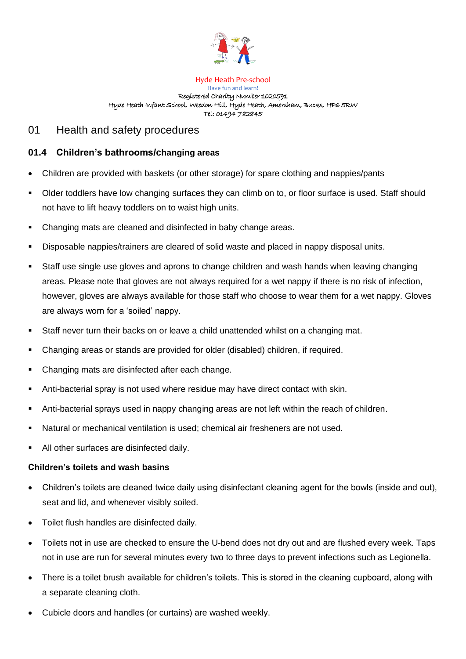

## Hyde Heath Pre-school Have fun and learn! Registered Charity Number 1020591 Hyde Heath Infant School, Weedon Hill, Hyde Heath, Amersham, Bucks, HP6 5RW Tel: 01494 782845

## 01 Health and safety procedures

## **01.4 Children's bathrooms/changing areas**

- Children are provided with baskets (or other storage) for spare clothing and nappies/pants
- Older toddlers have low changing surfaces they can climb on to, or floor surface is used. Staff should not have to lift heavy toddlers on to waist high units.
- Changing mats are cleaned and disinfected in baby change areas.
- Disposable nappies/trainers are cleared of solid waste and placed in nappy disposal units.
- Staff use single use gloves and aprons to change children and wash hands when leaving changing areas. Please note that gloves are not always required for a wet nappy if there is no risk of infection, however, gloves are always available for those staff who choose to wear them for a wet nappy. Gloves are always worn for a 'soiled' nappy.
- Staff never turn their backs on or leave a child unattended whilst on a changing mat.
- Changing areas or stands are provided for older (disabled) children, if required.
- Changing mats are disinfected after each change.
- Anti-bacterial spray is not used where residue may have direct contact with skin.
- Anti-bacterial sprays used in nappy changing areas are not left within the reach of children.
- Natural or mechanical ventilation is used; chemical air fresheners are not used.
- All other surfaces are disinfected daily.

## **Children's toilets and wash basins**

- Children's toilets are cleaned twice daily using disinfectant cleaning agent for the bowls (inside and out), seat and lid, and whenever visibly soiled.
- Toilet flush handles are disinfected daily.
- Toilets not in use are checked to ensure the U-bend does not dry out and are flushed every week. Taps not in use are run for several minutes every two to three days to prevent infections such as Legionella.
- There is a toilet brush available for children's toilets. This is stored in the cleaning cupboard, along with a separate cleaning cloth.
- Cubicle doors and handles (or curtains) are washed weekly.